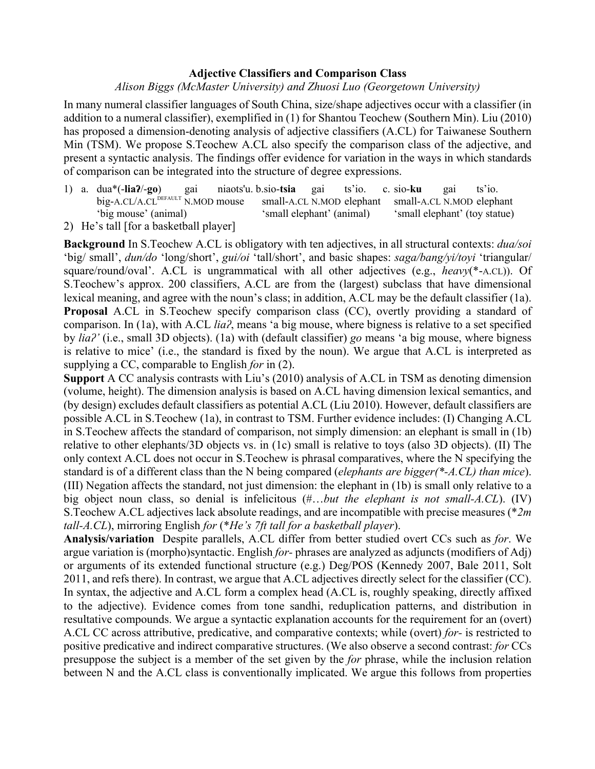## **Adjective Classifiers and Comparison Class**

## *Alison Biggs (McMaster University) and Zhuosi Luo (Georgetown University)*

In many numeral classifier languages of South China, size/shape adjectives occur with a classifier (in addition to a numeral classifier), exemplified in (1) for Shantou Teochew (Southern Min). Liu (2010) has proposed a dimension-denoting analysis of adjective classifiers (A.CL) for Taiwanese Southern Min (TSM). We propose S.Teochew A.CL also specify the comparison class of the adjective, and present a syntactic analysis. The findings offer evidence for variation in the ways in which standards of comparison can be integrated into the structure of degree expressions.

- 1) a. dua\*(-**liaʔ**/-**go**) gai niaots'u. b.sio-**tsia** gai ts'io. c. sio-**ku** gai ts'io. big-A.CL/A.CL<sup>DEFAULT</sup> N.MOD mouse small-A.CL N.MOD elephant small-A.CL N.MOD elephant 'big mouse' (animal) 'small elephant' (animal) 'small elephant' (toy statue)
- 2) He's tall [for a basketball player]

**Background** In S.Teochew A.CL is obligatory with ten adjectives, in all structural contexts: *dua/soi*  'big/ small', *dun/do* 'long/short', *gui/oi* 'tall/short', and basic shapes: *saga/bang/yi/toyi* 'triangular/ square/round/oval'. A.CL is ungrammatical with all other adjectives (e.g., *heavy*(\*-A.CL)). Of S.Teochew's approx. 200 classifiers, A.CL are from the (largest) subclass that have dimensional lexical meaning, and agree with the noun's class; in addition, A.CL may be the default classifier (1a). **Proposal** A.CL in S.Teochew specify comparison class (CC), overtly providing a standard of comparison. In (1a), with A.CL *liaʔ*, means 'a big mouse, where bigness is relative to a set specified by *liaʔ'* (i.e., small 3D objects). (1a) with (default classifier) *go* means 'a big mouse, where bigness is relative to mice' (i.e., the standard is fixed by the noun). We argue that A.CL is interpreted as supplying a CC, comparable to English *for* in (2).

**Support** A CC analysis contrasts with Liu's (2010) analysis of A.CL in TSM as denoting dimension (volume, height). The dimension analysis is based on A.CL having dimension lexical semantics, and (by design) excludes default classifiers as potential A.CL (Liu 2010). However, default classifiers are possible A.CL in S.Teochew (1a), in contrast to TSM. Further evidence includes: (I) Changing A.CL in S.Teochew affects the standard of comparison, not simply dimension: an elephant is small in (1b) relative to other elephants/3D objects vs. in (1c) small is relative to toys (also 3D objects). (II) The only context A.CL does not occur in S.Teochew is phrasal comparatives, where the N specifying the standard is of a different class than the N being compared (*elephants are bigger(\*-A.CL) than mice*). (III) Negation affects the standard, not just dimension: the elephant in (1b) is small only relative to a big object noun class, so denial is infelicitous (#…*but the elephant is not small-A.CL*). (IV) S.Teochew A.CL adjectives lack absolute readings, and are incompatible with precise measures (\**2m tall-A.CL*), mirroring English *for* (\**He's 7ft tall for a basketball player*).

**Analysis/variation** Despite parallels, A.CL differ from better studied overt CCs such as *for*. We argue variation is (morpho)syntactic. English *for-* phrases are analyzed as adjuncts (modifiers of Adj) or arguments of its extended functional structure (e.g.) Deg/POS (Kennedy 2007, Bale 2011, Solt 2011, and refs there). In contrast, we argue that A.CL adjectives directly select for the classifier (CC). In syntax, the adjective and A.CL form a complex head (A.CL is, roughly speaking, directly affixed to the adjective). Evidence comes from tone sandhi, reduplication patterns, and distribution in resultative compounds. We argue a syntactic explanation accounts for the requirement for an (overt) A.CL CC across attributive, predicative, and comparative contexts; while (overt) *for-* is restricted to positive predicative and indirect comparative structures. (We also observe a second contrast: *for* CCs presuppose the subject is a member of the set given by the *for* phrase, while the inclusion relation between N and the A.CL class is conventionally implicated. We argue this follows from properties